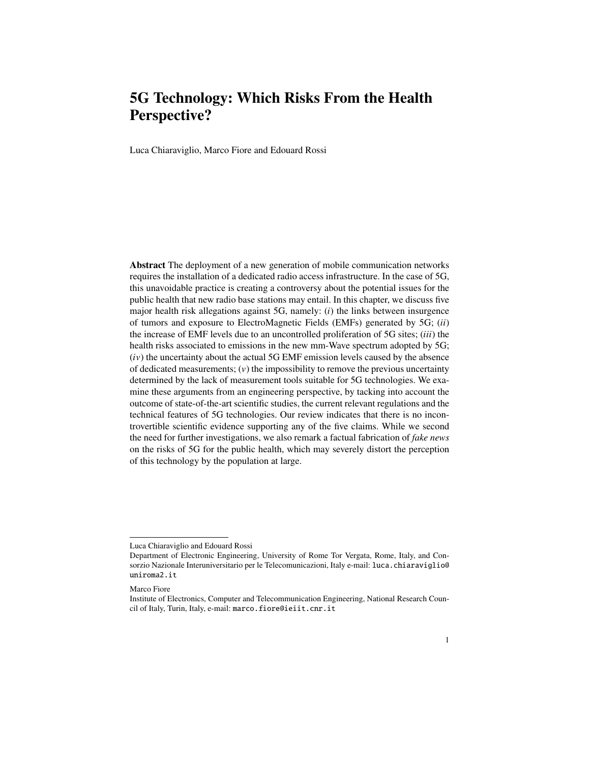Luca Chiaraviglio, Marco Fiore and Edouard Rossi

Abstract The deployment of a new generation of mobile communication networks requires the installation of a dedicated radio access infrastructure. In the case of 5G, this unavoidable practice is creating a controversy about the potential issues for the public health that new radio base stations may entail. In this chapter, we discuss five major health risk allegations against 5G, namely: (*i*) the links between insurgence of tumors and exposure to ElectroMagnetic Fields (EMFs) generated by 5G; (*ii*) the increase of EMF levels due to an uncontrolled proliferation of 5G sites; (*iii*) the health risks associated to emissions in the new mm-Wave spectrum adopted by 5G; (*i*v) the uncertainty about the actual 5G EMF emission levels caused by the absence of dedicated measurements;  $(v)$  the impossibility to remove the previous uncertainty determined by the lack of measurement tools suitable for 5G technologies. We examine these arguments from an engineering perspective, by tacking into account the outcome of state-of-the-art scientific studies, the current relevant regulations and the technical features of 5G technologies. Our review indicates that there is no incontrovertible scientific evidence supporting any of the five claims. While we second the need for further investigations, we also remark a factual fabrication of *fake news* on the risks of 5G for the public health, which may severely distort the perception of this technology by the population at large.

Luca Chiaraviglio and Edouard Rossi

Department of Electronic Engineering, University of Rome Tor Vergata, Rome, Italy, and Consorzio Nazionale Interuniversitario per le Telecomunicazioni, Italy e-mail: luca.chiaraviglio@ uniroma2.it

Marco Fiore

Institute of Electronics, Computer and Telecommunication Engineering, National Research Council of Italy, Turin, Italy, e-mail: marco.fiore@ieiit.cnr.it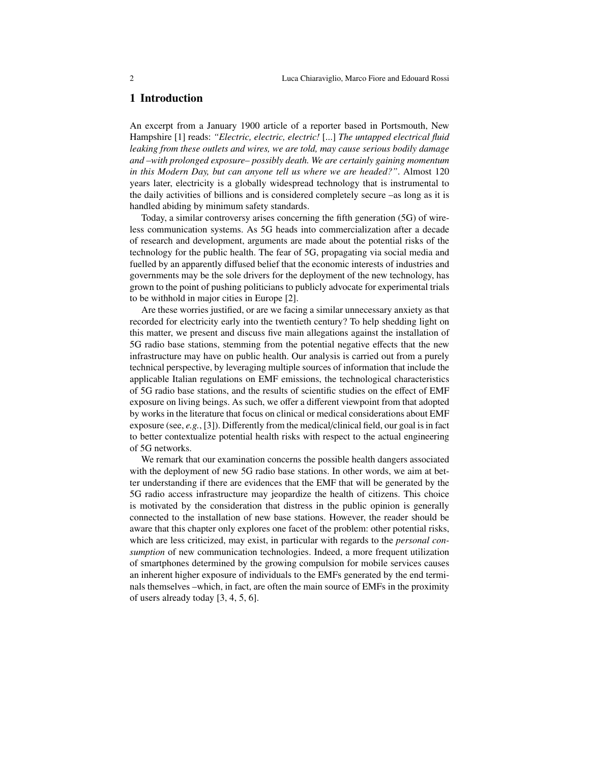## 1 Introduction

An excerpt from a January 1900 article of a reporter based in Portsmouth, New Hampshire [1] reads: *"Electric, electric, electric!* [...] *The untapped electrical fluid leaking from these outlets and wires, we are told, may cause serious bodily damage and –with prolonged exposure– possibly death. We are certainly gaining momentum in this Modern Day, but can anyone tell us where we are headed?"*. Almost 120 years later, electricity is a globally widespread technology that is instrumental to the daily activities of billions and is considered completely secure –as long as it is handled abiding by minimum safety standards.

Today, a similar controversy arises concerning the fifth generation (5G) of wireless communication systems. As 5G heads into commercialization after a decade of research and development, arguments are made about the potential risks of the technology for the public health. The fear of 5G, propagating via social media and fuelled by an apparently diffused belief that the economic interests of industries and governments may be the sole drivers for the deployment of the new technology, has grown to the point of pushing politicians to publicly advocate for experimental trials to be withhold in major cities in Europe [2].

Are these worries justified, or are we facing a similar unnecessary anxiety as that recorded for electricity early into the twentieth century? To help shedding light on this matter, we present and discuss five main allegations against the installation of 5G radio base stations, stemming from the potential negative effects that the new infrastructure may have on public health. Our analysis is carried out from a purely technical perspective, by leveraging multiple sources of information that include the applicable Italian regulations on EMF emissions, the technological characteristics of 5G radio base stations, and the results of scientific studies on the effect of EMF exposure on living beings. As such, we offer a different viewpoint from that adopted by works in the literature that focus on clinical or medical considerations about EMF exposure (see, *e.g.*, [3]). Differently from the medical/clinical field, our goal is in fact to better contextualize potential health risks with respect to the actual engineering of 5G networks.

We remark that our examination concerns the possible health dangers associated with the deployment of new 5G radio base stations. In other words, we aim at better understanding if there are evidences that the EMF that will be generated by the 5G radio access infrastructure may jeopardize the health of citizens. This choice is motivated by the consideration that distress in the public opinion is generally connected to the installation of new base stations. However, the reader should be aware that this chapter only explores one facet of the problem: other potential risks, which are less criticized, may exist, in particular with regards to the *personal consumption* of new communication technologies. Indeed, a more frequent utilization of smartphones determined by the growing compulsion for mobile services causes an inherent higher exposure of individuals to the EMFs generated by the end terminals themselves –which, in fact, are often the main source of EMFs in the proximity of users already today [3, 4, 5, 6].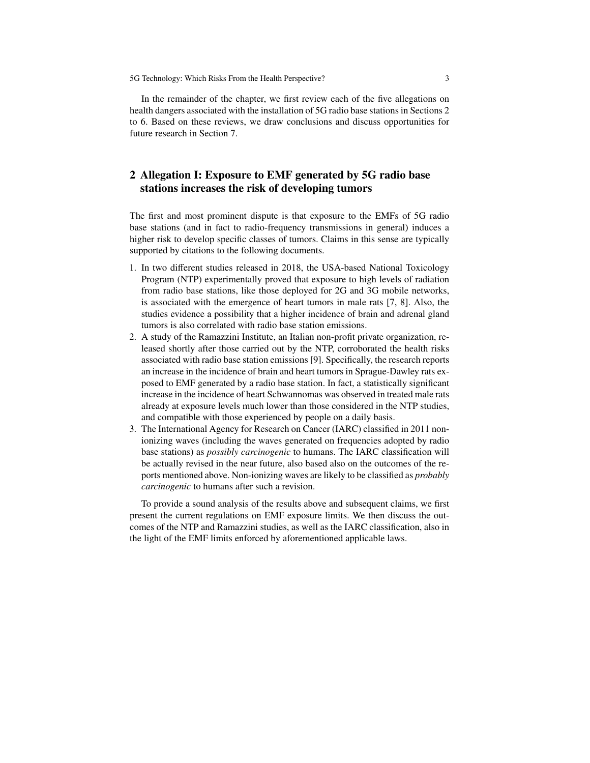In the remainder of the chapter, we first review each of the five allegations on health dangers associated with the installation of 5G radio base stations in Sections 2 to 6. Based on these reviews, we draw conclusions and discuss opportunities for future research in Section 7.

# 2 Allegation I: Exposure to EMF generated by 5G radio base stations increases the risk of developing tumors

The first and most prominent dispute is that exposure to the EMFs of 5G radio base stations (and in fact to radio-frequency transmissions in general) induces a higher risk to develop specific classes of tumors. Claims in this sense are typically supported by citations to the following documents.

- 1. In two different studies released in 2018, the USA-based National Toxicology Program (NTP) experimentally proved that exposure to high levels of radiation from radio base stations, like those deployed for 2G and 3G mobile networks, is associated with the emergence of heart tumors in male rats [7, 8]. Also, the studies evidence a possibility that a higher incidence of brain and adrenal gland tumors is also correlated with radio base station emissions.
- 2. A study of the Ramazzini Institute, an Italian non-profit private organization, released shortly after those carried out by the NTP, corroborated the health risks associated with radio base station emissions [9]. Specifically, the research reports an increase in the incidence of brain and heart tumors in Sprague-Dawley rats exposed to EMF generated by a radio base station. In fact, a statistically significant increase in the incidence of heart Schwannomas was observed in treated male rats already at exposure levels much lower than those considered in the NTP studies, and compatible with those experienced by people on a daily basis.
- 3. The International Agency for Research on Cancer (IARC) classified in 2011 nonionizing waves (including the waves generated on frequencies adopted by radio base stations) as *possibly carcinogenic* to humans. The IARC classification will be actually revised in the near future, also based also on the outcomes of the reports mentioned above. Non-ionizing waves are likely to be classified as *probably carcinogenic* to humans after such a revision.

To provide a sound analysis of the results above and subsequent claims, we first present the current regulations on EMF exposure limits. We then discuss the outcomes of the NTP and Ramazzini studies, as well as the IARC classification, also in the light of the EMF limits enforced by aforementioned applicable laws.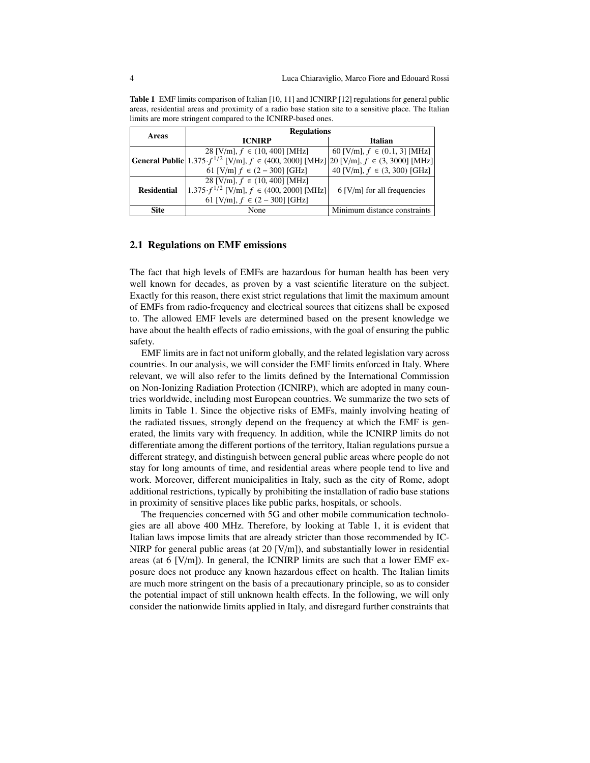|                    | <b>Regulations</b>                                                                                               |                                  |  |  |  |  |
|--------------------|------------------------------------------------------------------------------------------------------------------|----------------------------------|--|--|--|--|
| Areas              | <b>ICNIRP</b>                                                                                                    | Italian                          |  |  |  |  |
|                    | 28 [V/m], $f \in (10, 400]$ [MHz]                                                                                | 60 [V/m], $f \in (0.1, 3]$ [MHz] |  |  |  |  |
|                    | <b>General Public</b> $1.375 \cdot f^{1/2}$ [V/m], $f \in (400, 2000]$ [MHz] $20$ [V/m], $f \in (3, 3000]$ [MHz] |                                  |  |  |  |  |
|                    | 61 [V/m] $f \in (2 - 300]$ [GHz]                                                                                 | 40 [V/m], $f \in (3, 300)$ [GHz] |  |  |  |  |
|                    | 28 [V/m], $f \in (10, 400]$ [MHz]                                                                                |                                  |  |  |  |  |
| <b>Residential</b> | $(1.375 \cdot f^{1/2} \text{ [V/m]}, f \in (400, 2000] \text{ [MHz]}$                                            | $6$ [V/m] for all frequencies    |  |  |  |  |
|                    | 61 [V/m], $f \in (2 - 300]$ [GHz]                                                                                |                                  |  |  |  |  |
| Site               | None                                                                                                             | Minimum distance constraints     |  |  |  |  |

Table 1 EMF limits comparison of Italian [10, 11] and ICNIRP [12] regulations for general public areas, residential areas and proximity of a radio base station site to a sensitive place. The Italian limits are more stringent compared to the ICNIRP-based ones.

#### 2.1 Regulations on EMF emissions

The fact that high levels of EMFs are hazardous for human health has been very well known for decades, as proven by a vast scientific literature on the subject. Exactly for this reason, there exist strict regulations that limit the maximum amount of EMFs from radio-frequency and electrical sources that citizens shall be exposed to. The allowed EMF levels are determined based on the present knowledge we have about the health effects of radio emissions, with the goal of ensuring the public safety.

EMF limits are in fact not uniform globally, and the related legislation vary across countries. In our analysis, we will consider the EMF limits enforced in Italy. Where relevant, we will also refer to the limits defined by the International Commission on Non-Ionizing Radiation Protection (ICNIRP), which are adopted in many countries worldwide, including most European countries. We summarize the two sets of limits in Table 1. Since the objective risks of EMFs, mainly involving heating of the radiated tissues, strongly depend on the frequency at which the EMF is generated, the limits vary with frequency. In addition, while the ICNIRP limits do not differentiate among the different portions of the territory, Italian regulations pursue a different strategy, and distinguish between general public areas where people do not stay for long amounts of time, and residential areas where people tend to live and work. Moreover, different municipalities in Italy, such as the city of Rome, adopt additional restrictions, typically by prohibiting the installation of radio base stations in proximity of sensitive places like public parks, hospitals, or schools.

The frequencies concerned with 5G and other mobile communication technologies are all above 400 MHz. Therefore, by looking at Table 1, it is evident that Italian laws impose limits that are already stricter than those recommended by IC-NIRP for general public areas (at 20  $[V/m]$ ), and substantially lower in residential areas (at 6 [V/m]). In general, the ICNIRP limits are such that a lower EMF exposure does not produce any known hazardous effect on health. The Italian limits are much more stringent on the basis of a precautionary principle, so as to consider the potential impact of still unknown health effects. In the following, we will only consider the nationwide limits applied in Italy, and disregard further constraints that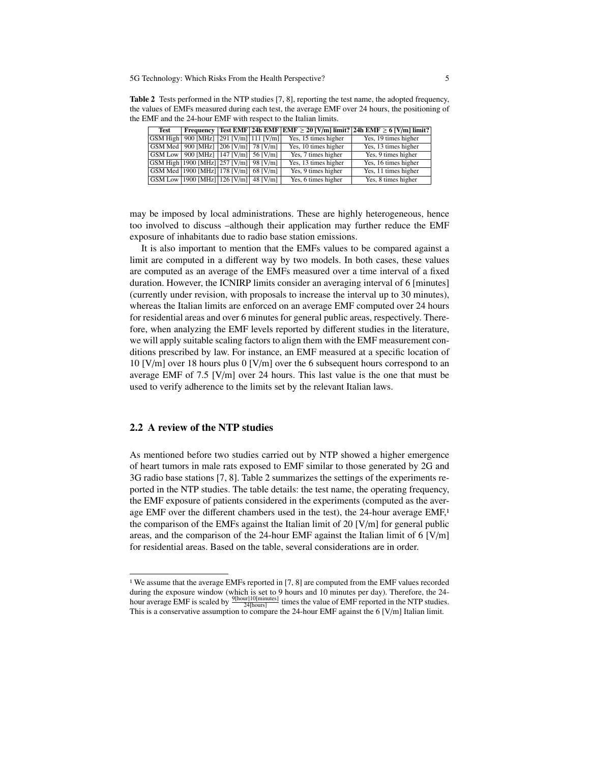Table 2 Tests performed in the NTP studies [7, 8], reporting the test name, the adopted frequency, the values of EMFs measured during each test, the average EMF over 24 hours, the positioning of the EMF and the 24-hour EMF with respect to the Italian limits.

| Test |                                                                     |  |                      | Frequency   Test EMF   24h EMF   EMF $\geq$ 20 [V/m] limit?   24h EMF $\geq$ 6 [V/m] limit? |
|------|---------------------------------------------------------------------|--|----------------------|---------------------------------------------------------------------------------------------|
|      | GSM High 900 [MHz] 291 [V/m] 111 [V/m]                              |  | Yes, 15 times higher | Yes, 19 times higher                                                                        |
|      | GSM Med   900 [MHz] $\sqrt{206}$ [V/m] $\sqrt{78}$ [V/m] $\sqrt{ }$ |  | Yes, 10 times higher | Yes, 13 times higher                                                                        |
|      | GSM Low   900 [MHz] $ 147$ [V/m]   56 [V/m]                         |  | Yes, 7 times higher  | Yes, 9 times higher                                                                         |
|      | GSM High 1900 [MHz] 257 [V/m] 98 [V/m]                              |  | Yes, 13 times higher | Yes, 16 times higher                                                                        |
|      | GSM Med   1900 [MHz]   178 [V/m]   68 [V/m]                         |  | Yes, 9 times higher  | Yes, 11 times higher                                                                        |
|      | $\sqrt{ \text{GSM Low} }$ 1900 [MHz] 126 [V/m] 48 [V/m]             |  | Yes, 6 times higher  | Yes, 8 times higher                                                                         |

may be imposed by local administrations. These are highly heterogeneous, hence too involved to discuss –although their application may further reduce the EMF exposure of inhabitants due to radio base station emissions.

It is also important to mention that the EMFs values to be compared against a limit are computed in a different way by two models. In both cases, these values are computed as an average of the EMFs measured over a time interval of a fixed duration. However, the ICNIRP limits consider an averaging interval of 6 [minutes] (currently under revision, with proposals to increase the interval up to 30 minutes), whereas the Italian limits are enforced on an average EMF computed over 24 hours for residential areas and over 6 minutes for general public areas, respectively. Therefore, when analyzing the EMF levels reported by different studies in the literature, we will apply suitable scaling factors to align them with the EMF measurement conditions prescribed by law. For instance, an EMF measured at a specific location of 10 [V/m] over 18 hours plus 0 [V/m] over the 6 subsequent hours correspond to an average EMF of 7.5  $[V/m]$  over 24 hours. This last value is the one that must be used to verify adherence to the limits set by the relevant Italian laws.

### 2.2 A review of the NTP studies

As mentioned before two studies carried out by NTP showed a higher emergence of heart tumors in male rats exposed to EMF similar to those generated by 2G and 3G radio base stations [7, 8]. Table 2 summarizes the settings of the experiments reported in the NTP studies. The table details: the test name, the operating frequency, the EMF exposure of patients considered in the experiments (computed as the average EMF over the different chambers used in the test), the 24-hour average EMF,<sup>1</sup> the comparison of the EMFs against the Italian limit of 20 [V/m] for general public areas, and the comparison of the 24-hour EMF against the Italian limit of 6 [V/m] for residential areas. Based on the table, several considerations are in order.

<sup>1</sup> We assume that the average EMFs reported in [7, 8] are computed from the EMF values recorded during the exposure window (which is set to 9 hours and 10 minutes per day). Therefore, the 24hour average EMF is scaled by  $\frac{9[\text{hour}][10[\text{minutes}]}{24[\text{hours}]}$  times the value of EMF reported in the NTP studies. This is a conservative assumption to compare the 24-hour EMF against the 6 [V/m] Italian limit.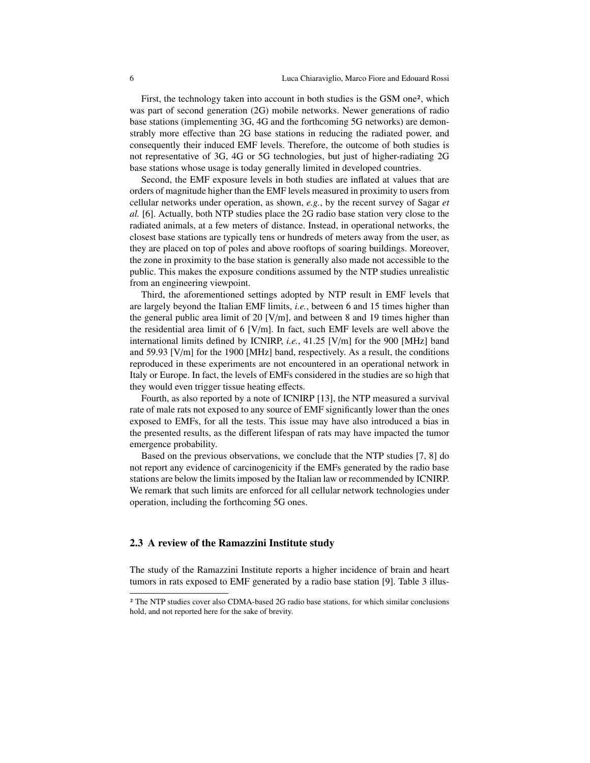First, the technology taken into account in both studies is the GSM one<sup>2</sup>, which was part of second generation (2G) mobile networks. Newer generations of radio base stations (implementing 3G, 4G and the forthcoming 5G networks) are demonstrably more effective than 2G base stations in reducing the radiated power, and consequently their induced EMF levels. Therefore, the outcome of both studies is not representative of 3G, 4G or 5G technologies, but just of higher-radiating 2G base stations whose usage is today generally limited in developed countries.

Second, the EMF exposure levels in both studies are inflated at values that are orders of magnitude higher than the EMF levels measured in proximity to users from cellular networks under operation, as shown, *e.g.*, by the recent survey of Sagar *et al.* [6]. Actually, both NTP studies place the 2G radio base station very close to the radiated animals, at a few meters of distance. Instead, in operational networks, the closest base stations are typically tens or hundreds of meters away from the user, as they are placed on top of poles and above rooftops of soaring buildings. Moreover, the zone in proximity to the base station is generally also made not accessible to the public. This makes the exposure conditions assumed by the NTP studies unrealistic from an engineering viewpoint.

Third, the aforementioned settings adopted by NTP result in EMF levels that are largely beyond the Italian EMF limits, *i.e.*, between 6 and 15 times higher than the general public area limit of 20 [V/m], and between 8 and 19 times higher than the residential area limit of 6 [V/m]. In fact, such EMF levels are well above the international limits defined by ICNIRP, *i.e.*, 41.25 [V/m] for the 900 [MHz] band and 59.93 [V/m] for the 1900 [MHz] band, respectively. As a result, the conditions reproduced in these experiments are not encountered in an operational network in Italy or Europe. In fact, the levels of EMFs considered in the studies are so high that they would even trigger tissue heating effects.

Fourth, as also reported by a note of ICNIRP [13], the NTP measured a survival rate of male rats not exposed to any source of EMF significantly lower than the ones exposed to EMFs, for all the tests. This issue may have also introduced a bias in the presented results, as the different lifespan of rats may have impacted the tumor emergence probability.

Based on the previous observations, we conclude that the NTP studies [7, 8] do not report any evidence of carcinogenicity if the EMFs generated by the radio base stations are below the limits imposed by the Italian law or recommended by ICNIRP. We remark that such limits are enforced for all cellular network technologies under operation, including the forthcoming 5G ones.

### 2.3 A review of the Ramazzini Institute study

The study of the Ramazzini Institute reports a higher incidence of brain and heart tumors in rats exposed to EMF generated by a radio base station [9]. Table 3 illus-

<sup>2</sup> The NTP studies cover also CDMA-based 2G radio base stations, for which similar conclusions hold, and not reported here for the sake of brevity.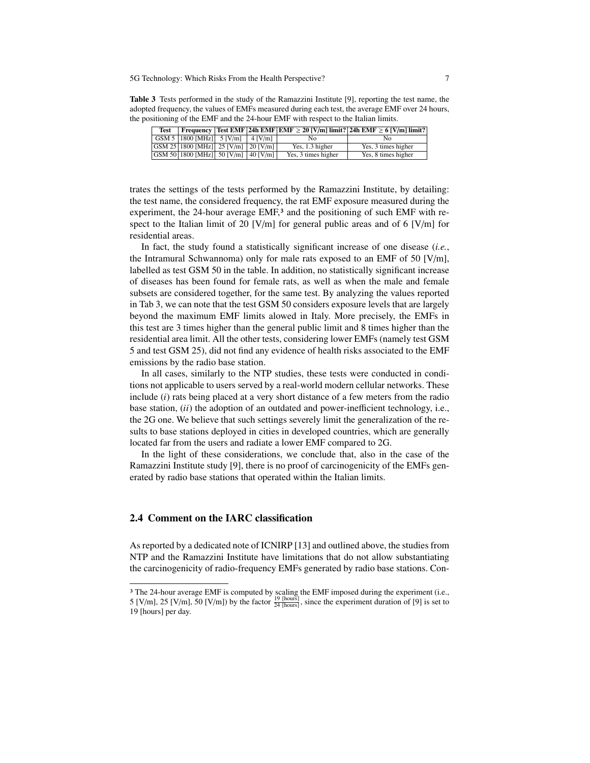Table 3 Tests performed in the study of the Ramazzini Institute [9], reporting the test name, the adopted frequency, the values of EMFs measured during each test, the average EMF over 24 hours, the positioning of the EMF and the 24-hour EMF with respect to the Italian limits.

| Test |                                                                                                        |  |                     | <b>Frequency</b>   Test EMF   24h EMF   EMF $\geq 20$ [V/m] limit?   24h EMF $\geq 6$ [V/m] limit? |
|------|--------------------------------------------------------------------------------------------------------|--|---------------------|----------------------------------------------------------------------------------------------------|
|      | $\text{GSM 5}$   1800 [MHz]   5 [V/m]   4 [V/m]                                                        |  | Nο                  | Nο                                                                                                 |
|      | $\overline{ \text{GSM }25 1800 \text{MHz} }$ 25 $\overline{ \text{V/m} }$ 20 $\overline{ \text{V/m} }$ |  | Yes, 1.3 higher     | Yes, 3 times higher                                                                                |
|      | GSM 50 1800 [MHz] 50 [V/m] 40 [V/m] $\vert$                                                            |  | Yes, 3 times higher | Yes, 8 times higher                                                                                |

trates the settings of the tests performed by the Ramazzini Institute, by detailing: the test name, the considered frequency, the rat EMF exposure measured during the experiment, the 24-hour average EMF,<sup>3</sup> and the positioning of such EMF with respect to the Italian limit of 20 [V/m] for general public areas and of 6 [V/m] for residential areas.

In fact, the study found a statistically significant increase of one disease (*i.e.*, the Intramural Schwannoma) only for male rats exposed to an EMF of 50 [V/m], labelled as test GSM 50 in the table. In addition, no statistically significant increase of diseases has been found for female rats, as well as when the male and female subsets are considered together, for the same test. By analyzing the values reported in Tab 3, we can note that the test GSM 50 considers exposure levels that are largely beyond the maximum EMF limits alowed in Italy. More precisely, the EMFs in this test are 3 times higher than the general public limit and 8 times higher than the residential area limit. All the other tests, considering lower EMFs (namely test GSM 5 and test GSM 25), did not find any evidence of health risks associated to the EMF emissions by the radio base station.

In all cases, similarly to the NTP studies, these tests were conducted in conditions not applicable to users served by a real-world modern cellular networks. These include (*i*) rats being placed at a very short distance of a few meters from the radio base station, (*ii*) the adoption of an outdated and power-inefficient technology, i.e., the 2G one. We believe that such settings severely limit the generalization of the results to base stations deployed in cities in developed countries, which are generally located far from the users and radiate a lower EMF compared to 2G.

In the light of these considerations, we conclude that, also in the case of the Ramazzini Institute study [9], there is no proof of carcinogenicity of the EMFs generated by radio base stations that operated within the Italian limits.

### 2.4 Comment on the IARC classification

As reported by a dedicated note of ICNIRP [13] and outlined above, the studies from NTP and the Ramazzini Institute have limitations that do not allow substantiating the carcinogenicity of radio-frequency EMFs generated by radio base stations. Con-

<sup>&</sup>lt;sup>3</sup> The 24-hour average EMF is computed by scaling the EMF imposed during the experiment (i.e., 5 [V/m], 25 [V/m], 50 [V/m]) by the factor  $\frac{19 \text{ [hours]}}{24 \text{ [hours]}}$ , since the experiment duration of [9] is set to 19 [hours] per day.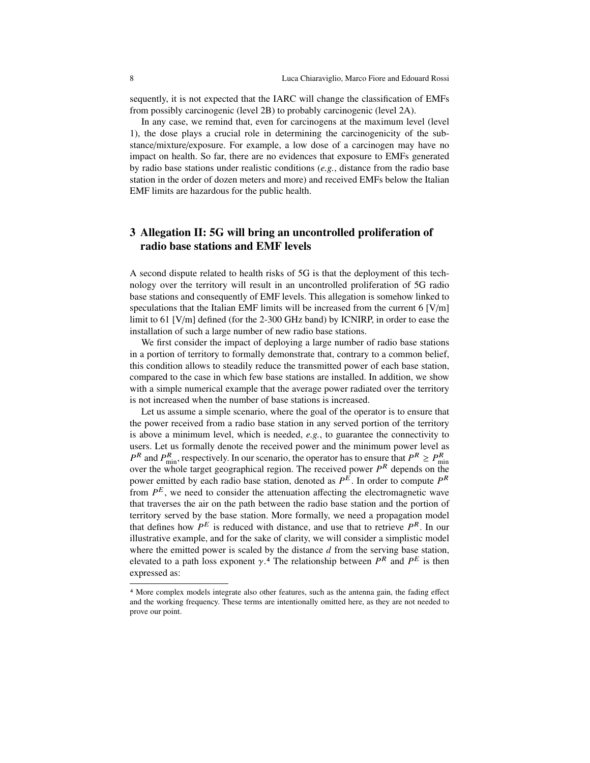sequently, it is not expected that the IARC will change the classification of EMFs from possibly carcinogenic (level 2B) to probably carcinogenic (level 2A).

In any case, we remind that, even for carcinogens at the maximum level (level 1), the dose plays a crucial role in determining the carcinogenicity of the substance/mixture/exposure. For example, a low dose of a carcinogen may have no impact on health. So far, there are no evidences that exposure to EMFs generated by radio base stations under realistic conditions (*e.g.*, distance from the radio base station in the order of dozen meters and more) and received EMFs below the Italian EMF limits are hazardous for the public health.

# 3 Allegation II: 5G will bring an uncontrolled proliferation of radio base stations and EMF levels

A second dispute related to health risks of 5G is that the deployment of this technology over the territory will result in an uncontrolled proliferation of 5G radio base stations and consequently of EMF levels. This allegation is somehow linked to speculations that the Italian EMF limits will be increased from the current 6  $[V/m]$ limit to 61 [V/m] defined (for the 2-300 GHz band) by ICNIRP, in order to ease the installation of such a large number of new radio base stations.

We first consider the impact of deploying a large number of radio base stations in a portion of territory to formally demonstrate that, contrary to a common belief, this condition allows to steadily reduce the transmitted power of each base station, compared to the case in which few base stations are installed. In addition, we show with a simple numerical example that the average power radiated over the territory is not increased when the number of base stations is increased.

Let us assume a simple scenario, where the goal of the operator is to ensure that the power received from a radio base station in any served portion of the territory is above a minimum level, which is needed, *e.g.*, to guarantee the connectivity to users. Let us formally denote the received power and the minimum power level as  $P^R$  and  $P_{\text{min}}^R$ , respectively. In our scenario, the operator has to ensure that  $P^R \ge P_{\text{min}}^R$ over the whole target geographical region. The received power  $P<sup>R</sup>$  depends on the power emitted by each radio base station, denoted as *P* <sup>E</sup> . In order to compute *P* R from  $P^E$ , we need to consider the attenuation affecting the electromagnetic wave that traverses the air on the path between the radio base station and the portion of territory served by the base station. More formally, we need a propagation model that defines how  $P^E$  is reduced with distance, and use that to retrieve  $P^R$ . In our illustrative example, and for the sake of clarity, we will consider a simplistic model where the emitted power is scaled by the distance *d* from the serving base station, where the emitted power is scaled by the distance *a* from the serving base station,<br>elevated to a path loss exponent  $\gamma$ .<sup>4</sup> The relationship between  $P^R$  and  $P^E$  is then<br>expressed as: expressed as:

<sup>4</sup> More complex models integrate also other features, such as the antenna gain, the fading effect and the working frequency. These terms are intentionally omitted here, as they are not needed to prove our point.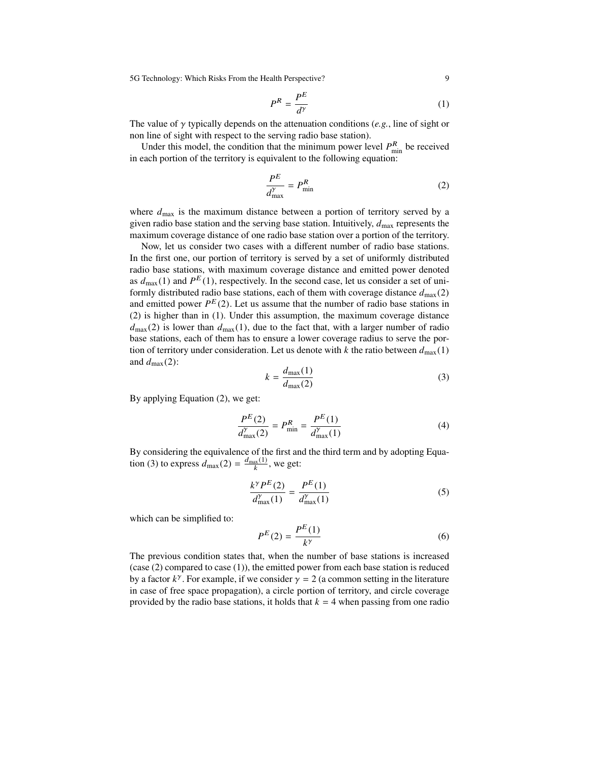$$
P^R = \frac{P^E}{d^{\gamma}}
$$
 (1)

The value of γ typically depends on the attenuation conditions (*e.g.*, line of sight or non line of sight with respect to the serving radio base station).

Under this model, the condition that the minimum power level  $P_{\text{min}}^R$  be received in each portion of the territory is equivalent to the following equation:

$$
\frac{P^E}{d_{\text{max}}^{\gamma}} = P_{\text{min}}^R \tag{2}
$$

where  $d_{\text{max}}$  is the maximum distance between a portion of territory served by a given radio base station and the serving base station. Intuitively,  $d_{\text{max}}$  represents the maximum coverage distance of one radio base station over a portion of the territory.

Now, let us consider two cases with a different number of radio base stations. In the first one, our portion of territory is served by a set of uniformly distributed radio base stations, with maximum coverage distance and emitted power denoted as  $d_{\text{max}}(1)$  and  $P^{E}(1)$ , respectively. In the second case, let us consider a set of uniformly distributed radio base stations, each of them with coverage distance  $d_{\text{max}}(2)$ and emitted power  $P^{E}(2)$ . Let us assume that the number of radio base stations in (2) is higher than in (1). Under this assumption, the maximum coverage distance  $d_{\text{max}}(2)$  is lower than  $d_{\text{max}}(1)$ , due to the fact that, with a larger number of radio base stations, each of them has to ensure a lower coverage radius to serve the portion of territory under consideration. Let us denote with *k* the ratio between  $d_{\text{max}}(1)$ and  $d_{\text{max}}(2)$ :

$$
k = \frac{d_{\text{max}}(1)}{d_{\text{max}}(2)}\tag{3}
$$

By applying Equation (2), we get:

$$
\frac{P^{E}(2)}{d_{\max}^{y}(2)} = P_{\min}^{R} = \frac{P^{E}(1)}{d_{\max}^{y}(1)}\tag{4}
$$

By considering the equivalence of the first and the third term and by adopting Equation (3) to express  $d_{\text{max}}(2) = \frac{d_{\text{max}}(1)}{k}$ , we get:

$$
\frac{k^{\gamma}P^{E}(2)}{d_{\max}^{\gamma}(1)} = \frac{P^{E}(1)}{d_{\max}^{\gamma}(1)}
$$
(5)

which can be simplified to:

$$
P^{E}(2) = \frac{P^{E}(1)}{k^{\gamma}}
$$
\n<sup>(6)</sup>

The previous condition states that, when the number of base stations is increased (case (2) compared to case (1)), the emitted power from each base station is reduced by a factor  $k^{\gamma}$ . For example, if we consider  $\gamma = 2$  (a common setting in the literature in case of free space propagation), a circle portion of territory and circle coverage in case of free space propagation), a circle portion of territory, and circle coverage provided by the radio base stations, it holds that  $k = 4$  when passing from one radio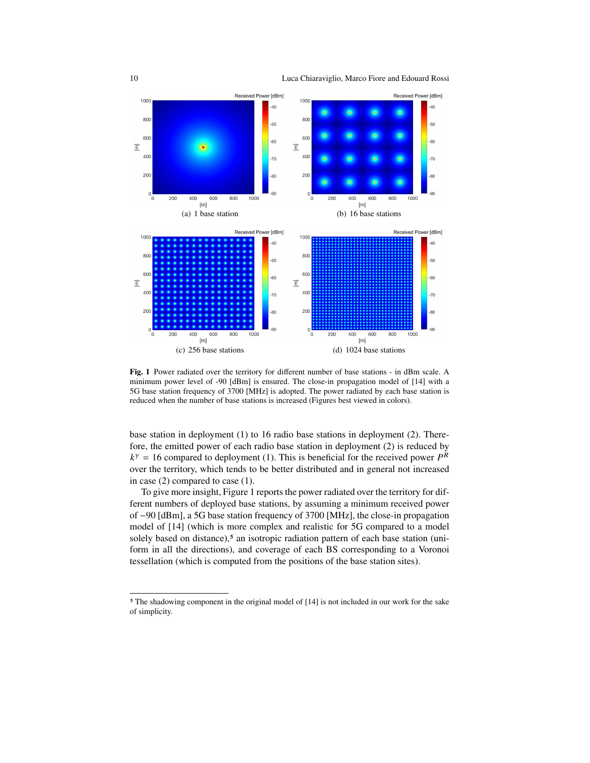10 Luca Chiaraviglio, Marco Fiore and Edouard Rossi



Fig. 1 Power radiated over the territory for different number of base stations - in dBm scale. A minimum power level of -90 [dBm] is ensured. The close-in propagation model of [14] with a 5G base station frequency of 3700 [MHz] is adopted. The power radiated by each base station is reduced when the number of base stations is increased (Figures best viewed in colors).

base station in deployment (1) to 16 radio base stations in deployment (2). Therefore, the emitted power of each radio base station in deployment (2) is reduced by  $k^{\gamma} = 16$  compared to deployment (1). This is beneficial for the received power  $P^R$ over the territory, which tends to be better distributed and in general not increased in case (2) compared to case (1).

To give more insight, Figure 1 reports the power radiated over the territory for different numbers of deployed base stations, by assuming a minimum received power of −90 [dBm], a 5G base station frequency of 3700 [MHz], the close-in propagation model of [14] (which is more complex and realistic for 5G compared to a model solely based on distance),<sup>5</sup> an isotropic radiation pattern of each base station (uniform in all the directions), and coverage of each BS corresponding to a Voronoi tessellation (which is computed from the positions of the base station sites).

<sup>&</sup>lt;sup>5</sup> The shadowing component in the original model of [14] is not included in our work for the sake of simplicity.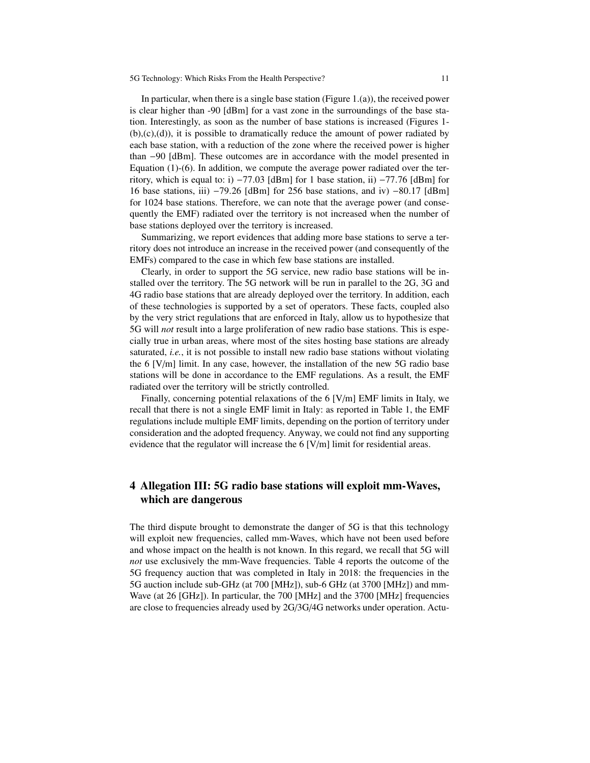In particular, when there is a single base station (Figure 1.(a)), the received power is clear higher than -90 [dBm] for a vast zone in the surroundings of the base station. Interestingly, as soon as the number of base stations is increased (Figures 1-  $(b), (c), (d)$ , it is possible to dramatically reduce the amount of power radiated by each base station, with a reduction of the zone where the received power is higher than −90 [dBm]. These outcomes are in accordance with the model presented in Equation (1)-(6). In addition, we compute the average power radiated over the territory, which is equal to: i)  $-77.03$  [dBm] for 1 base station, ii)  $-77.76$  [dBm] for 16 base stations, iii) <sup>−</sup>79.26 [dBm] for 256 base stations, and iv) <sup>−</sup>80.17 [dBm] for 1024 base stations. Therefore, we can note that the average power (and consequently the EMF) radiated over the territory is not increased when the number of base stations deployed over the territory is increased.

Summarizing, we report evidences that adding more base stations to serve a territory does not introduce an increase in the received power (and consequently of the EMFs) compared to the case in which few base stations are installed.

Clearly, in order to support the 5G service, new radio base stations will be installed over the territory. The 5G network will be run in parallel to the 2G, 3G and 4G radio base stations that are already deployed over the territory. In addition, each of these technologies is supported by a set of operators. These facts, coupled also by the very strict regulations that are enforced in Italy, allow us to hypothesize that 5G will *not* result into a large proliferation of new radio base stations. This is especially true in urban areas, where most of the sites hosting base stations are already saturated, *i.e.*, it is not possible to install new radio base stations without violating the 6 [V/m] limit. In any case, however, the installation of the new 5G radio base stations will be done in accordance to the EMF regulations. As a result, the EMF radiated over the territory will be strictly controlled.

Finally, concerning potential relaxations of the 6 [V/m] EMF limits in Italy, we recall that there is not a single EMF limit in Italy: as reported in Table 1, the EMF regulations include multiple EMF limits, depending on the portion of territory under consideration and the adopted frequency. Anyway, we could not find any supporting evidence that the regulator will increase the 6 [V/m] limit for residential areas.

# 4 Allegation III: 5G radio base stations will exploit mm-Waves, which are dangerous

The third dispute brought to demonstrate the danger of 5G is that this technology will exploit new frequencies, called mm-Waves, which have not been used before and whose impact on the health is not known. In this regard, we recall that 5G will *not* use exclusively the mm-Wave frequencies. Table 4 reports the outcome of the 5G frequency auction that was completed in Italy in 2018: the frequencies in the 5G auction include sub-GHz (at 700 [MHz]), sub-6 GHz (at 3700 [MHz]) and mm-Wave (at 26 [GHz]). In particular, the 700 [MHz] and the 3700 [MHz] frequencies are close to frequencies already used by 2G/3G/4G networks under operation. Actu-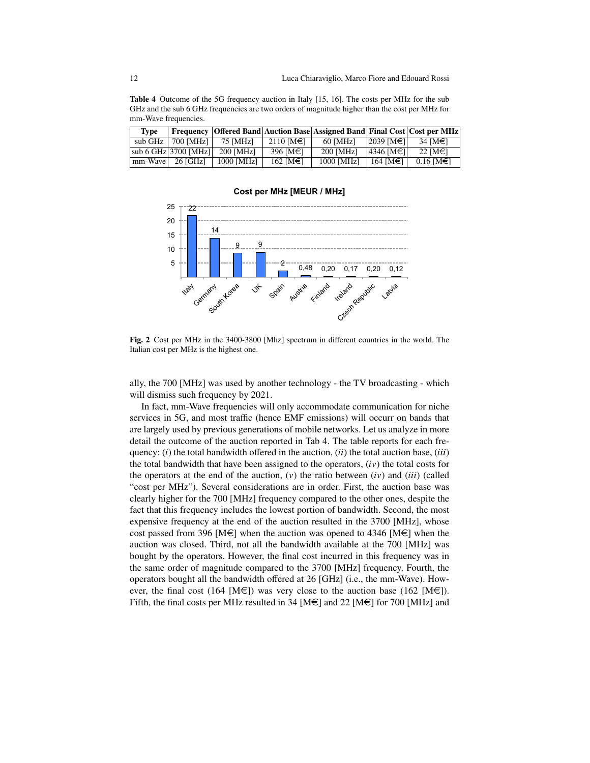Table 4 Outcome of the 5G frequency auction in Italy [15, 16]. The costs per MHz for the sub GHz and the sub 6 GHz frequencies are two orders of magnitude higher than the cost per MHz for mm-Wave frequencies.

| Tvpe    |                             |            |                 | <b>Frequency   Offered Band   Auction Base   Assigned Band   Final Cost   Cost per MHz</b> |                        |                   |
|---------|-----------------------------|------------|-----------------|--------------------------------------------------------------------------------------------|------------------------|-------------------|
|         | sub GHz $\mid$ 700 [MHz]    | 75 [MHz]   | $2110$ [M€]     | 60 [MHz]                                                                                   | $ 2039 $ [M€1]         | 34 [M€]           |
|         | $ sub 6 GHz 3700$ [MHz] $ $ | 200 [MHz]  | 396 [M€]        | 200 [MHz]                                                                                  | $ 4346 \text{ [M€1]} $ | 22 [M $\in$ ]     |
| mm-Wave | 26 [GHz]                    | 1000 [MHz] | 162 [ $M \in$ ] | 1000 [MHz]                                                                                 | 164 IM€1               | $0.16$ [M $\in$ ] |

#### **Cost per MHz [MEUR / MHz]**



Fig. 2 Cost per MHz in the 3400-3800 [Mhz] spectrum in different countries in the world. The Italian cost per MHz is the highest one.

ally, the 700 [MHz] was used by another technology - the TV broadcasting - which will dismiss such frequency by 2021.

In fact, mm-Wave frequencies will only accommodate communication for niche services in 5G, and most traffic (hence EMF emissions) will occurr on bands that are largely used by previous generations of mobile networks. Let us analyze in more detail the outcome of the auction reported in Tab 4. The table reports for each frequency: (*i*) the total bandwidth offered in the auction, (*ii*) the total auction base, (*iii*) the total bandwidth that have been assigned to the operators,  $(iv)$  the total costs for the operators at the end of the auction,  $(v)$  the ratio between  $(iv)$  and  $(iii)$  (called "cost per MHz"). Several considerations are in order. First, the auction base was clearly higher for the 700 [MHz] frequency compared to the other ones, despite the fact that this frequency includes the lowest portion of bandwidth. Second, the most expensive frequency at the end of the auction resulted in the 3700 [MHz], whose cost passed from 396 [M $\epsilon$ ] when the auction was opened to 4346 [M $\epsilon$ ] when the auction was closed. Third, not all the bandwidth available at the 700 [MHz] was bought by the operators. However, the final cost incurred in this frequency was in the same order of magnitude compared to the 3700 [MHz] frequency. Fourth, the operators bought all the bandwidth offered at 26 [GHz] (i.e., the mm-Wave). However, the final cost (164 [M $\in$ ]) was very close to the auction base (162 [M $\in$ ]). Fifth, the final costs per MHz resulted in 34 [M $\in$ ] and 22 [M $\in$ ] for 700 [MHz] and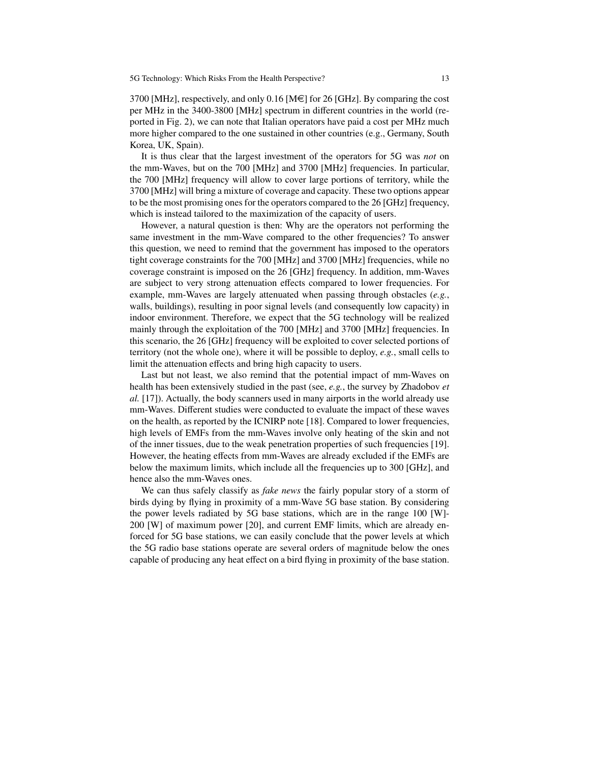3700 [MHz], respectively, and only 0.16 [M $\in$ ] for 26 [GHz]. By comparing the cost per MHz in the 3400-3800 [MHz] spectrum in different countries in the world (reported in Fig. 2), we can note that Italian operators have paid a cost per MHz much more higher compared to the one sustained in other countries (e.g., Germany, South Korea, UK, Spain).

It is thus clear that the largest investment of the operators for 5G was *not* on the mm-Waves, but on the 700 [MHz] and 3700 [MHz] frequencies. In particular, the 700 [MHz] frequency will allow to cover large portions of territory, while the 3700 [MHz] will bring a mixture of coverage and capacity. These two options appear to be the most promising ones for the operators compared to the 26 [GHz] frequency, which is instead tailored to the maximization of the capacity of users.

However, a natural question is then: Why are the operators not performing the same investment in the mm-Wave compared to the other frequencies? To answer this question, we need to remind that the government has imposed to the operators tight coverage constraints for the 700 [MHz] and 3700 [MHz] frequencies, while no coverage constraint is imposed on the 26 [GHz] frequency. In addition, mm-Waves are subject to very strong attenuation effects compared to lower frequencies. For example, mm-Waves are largely attenuated when passing through obstacles (*e.g.*, walls, buildings), resulting in poor signal levels (and consequently low capacity) in indoor environment. Therefore, we expect that the 5G technology will be realized mainly through the exploitation of the 700 [MHz] and 3700 [MHz] frequencies. In this scenario, the 26 [GHz] frequency will be exploited to cover selected portions of territory (not the whole one), where it will be possible to deploy, *e.g.*, small cells to limit the attenuation effects and bring high capacity to users.

Last but not least, we also remind that the potential impact of mm-Waves on health has been extensively studied in the past (see, *e.g.*, the survey by Zhadobov *et al.* [17]). Actually, the body scanners used in many airports in the world already use mm-Waves. Different studies were conducted to evaluate the impact of these waves on the health, as reported by the ICNIRP note [18]. Compared to lower frequencies, high levels of EMFs from the mm-Waves involve only heating of the skin and not of the inner tissues, due to the weak penetration properties of such frequencies [19]. However, the heating effects from mm-Waves are already excluded if the EMFs are below the maximum limits, which include all the frequencies up to 300 [GHz], and hence also the mm-Waves ones.

We can thus safely classify as *fake news* the fairly popular story of a storm of birds dying by flying in proximity of a mm-Wave 5G base station. By considering the power levels radiated by 5G base stations, which are in the range 100 [W]- 200 [W] of maximum power [20], and current EMF limits, which are already enforced for 5G base stations, we can easily conclude that the power levels at which the 5G radio base stations operate are several orders of magnitude below the ones capable of producing any heat effect on a bird flying in proximity of the base station.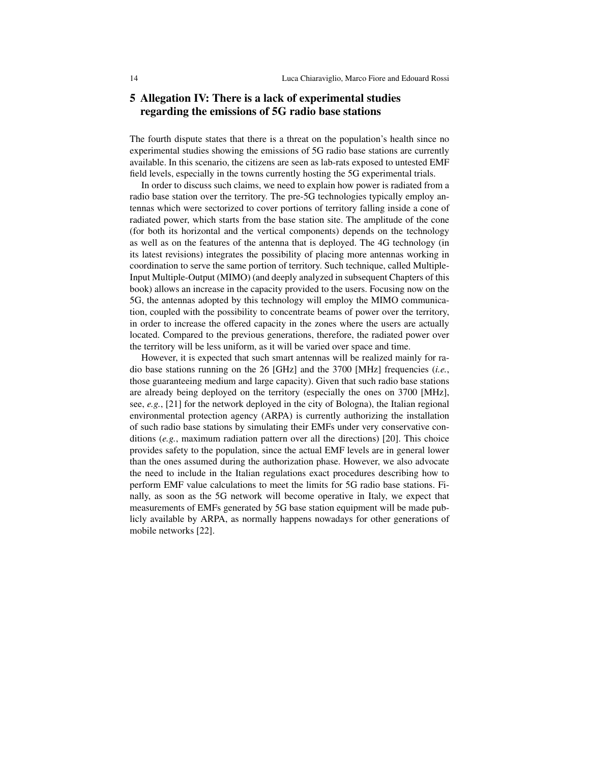# 5 Allegation IV: There is a lack of experimental studies regarding the emissions of 5G radio base stations

The fourth dispute states that there is a threat on the population's health since no experimental studies showing the emissions of 5G radio base stations are currently available. In this scenario, the citizens are seen as lab-rats exposed to untested EMF field levels, especially in the towns currently hosting the 5G experimental trials.

In order to discuss such claims, we need to explain how power is radiated from a radio base station over the territory. The pre-5G technologies typically employ antennas which were sectorized to cover portions of territory falling inside a cone of radiated power, which starts from the base station site. The amplitude of the cone (for both its horizontal and the vertical components) depends on the technology as well as on the features of the antenna that is deployed. The 4G technology (in its latest revisions) integrates the possibility of placing more antennas working in coordination to serve the same portion of territory. Such technique, called Multiple-Input Multiple-Output (MIMO) (and deeply analyzed in subsequent Chapters of this book) allows an increase in the capacity provided to the users. Focusing now on the 5G, the antennas adopted by this technology will employ the MIMO communication, coupled with the possibility to concentrate beams of power over the territory, in order to increase the offered capacity in the zones where the users are actually located. Compared to the previous generations, therefore, the radiated power over the territory will be less uniform, as it will be varied over space and time.

However, it is expected that such smart antennas will be realized mainly for radio base stations running on the 26 [GHz] and the 3700 [MHz] frequencies (*i.e.*, those guaranteeing medium and large capacity). Given that such radio base stations are already being deployed on the territory (especially the ones on 3700 [MHz], see, *e.g.*, [21] for the network deployed in the city of Bologna), the Italian regional environmental protection agency (ARPA) is currently authorizing the installation of such radio base stations by simulating their EMFs under very conservative conditions (*e.g.*, maximum radiation pattern over all the directions) [20]. This choice provides safety to the population, since the actual EMF levels are in general lower than the ones assumed during the authorization phase. However, we also advocate the need to include in the Italian regulations exact procedures describing how to perform EMF value calculations to meet the limits for 5G radio base stations. Finally, as soon as the 5G network will become operative in Italy, we expect that measurements of EMFs generated by 5G base station equipment will be made publicly available by ARPA, as normally happens nowadays for other generations of mobile networks [22].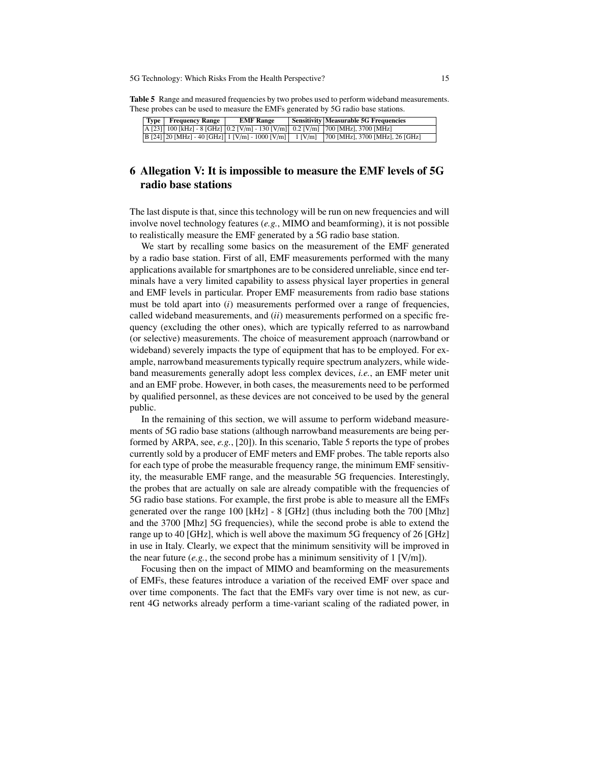Table 5 Range and measured frequencies by two probes used to perform wideband measurements. These probes can be used to measure the EMFs generated by 5G radio base stations.

|  | Type Frequency Range | <b>EMF</b> Range | <b>Sensitivity Measurable 5G Frequencies</b>                                                  |
|--|----------------------|------------------|-----------------------------------------------------------------------------------------------|
|  |                      |                  | $A$ [23] 100 [kHz] - 8 [GHz] $0.2$ [V/m] - 130 [V/m] $0.2$ [V/m] 700 [MHz], 3700 [MHz]        |
|  |                      |                  | B [24] 20 [MHz] - 40 [GHz]   1 [V/m] - 1000 [V/m]   1 [V/m]   700 [MHz], 3700 [MHz], 26 [GHz] |

# 6 Allegation V: It is impossible to measure the EMF levels of 5G radio base stations

The last dispute is that, since this technology will be run on new frequencies and will involve novel technology features (*e.g.*, MIMO and beamforming), it is not possible to realistically measure the EMF generated by a 5G radio base station.

We start by recalling some basics on the measurement of the EMF generated by a radio base station. First of all, EMF measurements performed with the many applications available for smartphones are to be considered unreliable, since end terminals have a very limited capability to assess physical layer properties in general and EMF levels in particular. Proper EMF measurements from radio base stations must be told apart into (*i*) measurements performed over a range of frequencies, called wideband measurements, and (*ii*) measurements performed on a specific frequency (excluding the other ones), which are typically referred to as narrowband (or selective) measurements. The choice of measurement approach (narrowband or wideband) severely impacts the type of equipment that has to be employed. For example, narrowband measurements typically require spectrum analyzers, while wideband measurements generally adopt less complex devices, *i.e.*, an EMF meter unit and an EMF probe. However, in both cases, the measurements need to be performed by qualified personnel, as these devices are not conceived to be used by the general public.

In the remaining of this section, we will assume to perform wideband measurements of 5G radio base stations (although narrowband measurements are being performed by ARPA, see, *e.g.*, [20]). In this scenario, Table 5 reports the type of probes currently sold by a producer of EMF meters and EMF probes. The table reports also for each type of probe the measurable frequency range, the minimum EMF sensitivity, the measurable EMF range, and the measurable 5G frequencies. Interestingly, the probes that are actually on sale are already compatible with the frequencies of 5G radio base stations. For example, the first probe is able to measure all the EMFs generated over the range 100 [kHz] - 8 [GHz] (thus including both the 700 [Mhz] and the 3700 [Mhz] 5G frequencies), while the second probe is able to extend the range up to 40 [GHz], which is well above the maximum 5G frequency of 26 [GHz] in use in Italy. Clearly, we expect that the minimum sensitivity will be improved in the near future  $(e.g., the second probe has a minimum sensitivity of 1 [V/m])$ .

Focusing then on the impact of MIMO and beamforming on the measurements of EMFs, these features introduce a variation of the received EMF over space and over time components. The fact that the EMFs vary over time is not new, as current 4G networks already perform a time-variant scaling of the radiated power, in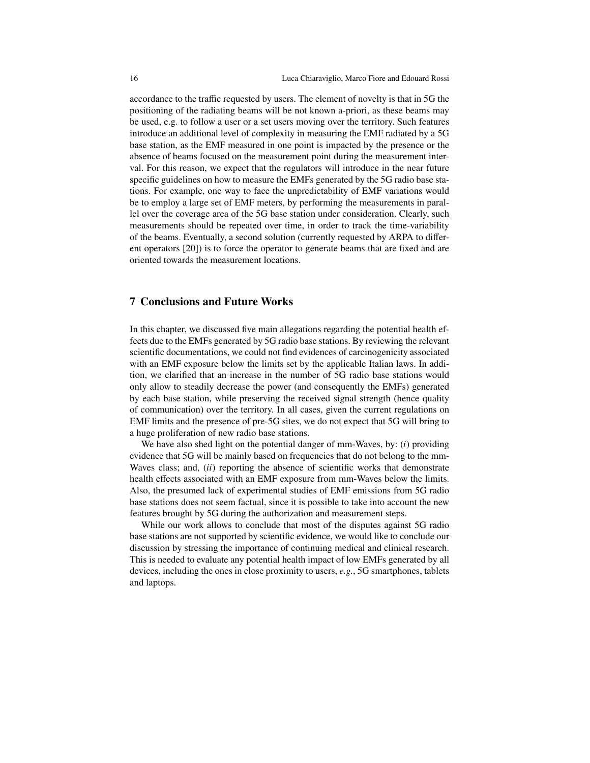accordance to the traffic requested by users. The element of novelty is that in 5G the positioning of the radiating beams will be not known a-priori, as these beams may be used, e.g. to follow a user or a set users moving over the territory. Such features introduce an additional level of complexity in measuring the EMF radiated by a 5G base station, as the EMF measured in one point is impacted by the presence or the absence of beams focused on the measurement point during the measurement interval. For this reason, we expect that the regulators will introduce in the near future specific guidelines on how to measure the EMFs generated by the 5G radio base stations. For example, one way to face the unpredictability of EMF variations would be to employ a large set of EMF meters, by performing the measurements in parallel over the coverage area of the 5G base station under consideration. Clearly, such measurements should be repeated over time, in order to track the time-variability of the beams. Eventually, a second solution (currently requested by ARPA to different operators [20]) is to force the operator to generate beams that are fixed and are oriented towards the measurement locations.

## 7 Conclusions and Future Works

In this chapter, we discussed five main allegations regarding the potential health effects due to the EMFs generated by 5G radio base stations. By reviewing the relevant scientific documentations, we could not find evidences of carcinogenicity associated with an EMF exposure below the limits set by the applicable Italian laws. In addition, we clarified that an increase in the number of 5G radio base stations would only allow to steadily decrease the power (and consequently the EMFs) generated by each base station, while preserving the received signal strength (hence quality of communication) over the territory. In all cases, given the current regulations on EMF limits and the presence of pre-5G sites, we do not expect that 5G will bring to a huge proliferation of new radio base stations.

We have also shed light on the potential danger of mm-Waves, by: (*i*) providing evidence that 5G will be mainly based on frequencies that do not belong to the mm-Waves class; and, (*ii*) reporting the absence of scientific works that demonstrate health effects associated with an EMF exposure from mm-Waves below the limits. Also, the presumed lack of experimental studies of EMF emissions from 5G radio base stations does not seem factual, since it is possible to take into account the new features brought by 5G during the authorization and measurement steps.

While our work allows to conclude that most of the disputes against 5G radio base stations are not supported by scientific evidence, we would like to conclude our discussion by stressing the importance of continuing medical and clinical research. This is needed to evaluate any potential health impact of low EMFs generated by all devices, including the ones in close proximity to users, *e.g.*, 5G smartphones, tablets and laptops.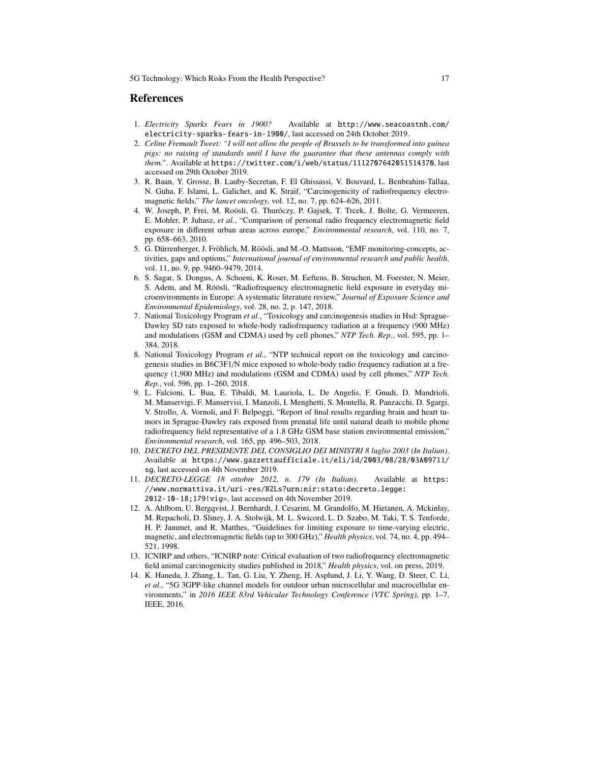### References

- 1. *Electricity Sparks Fears in 1900?* Available at http://www.seacoastnh.com/ electricity-sparks-fears-in-1900/, last accessed on 24th October 2019.
- 2. *Celine Fremault Tweet: "I will not allow the people of Brussels to be transformed into guinea pigs: no raising of standards until I have the guarantee that these antennas comply with them."*. Available at https://twitter.com/i/web/status/1112707642051514370, last accessed on 29th October 2019.
- 3. R. Baan, Y. Grosse, B. Lauby-Secretan, F. El Ghissassi, V. Bouvard, L. Benbrahim-Tallaa, N. Guha, F. Islami, L. Galichet, and K. Straif, "Carcinogenicity of radiofrequency electromagnetic fields," *The lancet oncology*, vol. 12, no. 7, pp. 624–626, 2011.
- 4. W. Joseph, P. Frei, M. Roösli, G. Thuróczy, P. Gajsek, T. Trcek, J. Bolte, G. Vermeeren, E. Mohler, P. Juhasz, *et al.*, "Comparison of personal radio frequency electromagnetic field exposure in different urban areas across europe," *Environmental research*, vol. 110, no. 7, pp. 658–663, 2010.
- 5. G. Dürrenberger, J. Fröhlich, M. Röösli, and M.-O. Mattsson, "EMF monitoring-concepts, activities, gaps and options," *International journal of environmental research and public health*, vol. 11, no. 9, pp. 9460–9479, 2014.
- 6. S. Sagar, S. Dongus, A. Schoeni, K. Roser, M. Eeftens, B. Struchen, M. Foerster, N. Meier, S. Adem, and M. Röösli, "Radiofrequency electromagnetic field exposure in everyday microenvironments in Europe: A systematic literature review," *Journal of Exposure Science and Environmental Epidemiology*, vol. 28, no. 2, p. 147, 2018.
- 7. National Toxicology Program *et al.*, "Toxicology and carcinogenesis studies in Hsd: Sprague-Dawley SD rats exposed to whole-body radiofrequency radiation at a frequency (900 MHz) and modulations (GSM and CDMA) used by cell phones," *NTP Tech. Rep.*, vol. 595, pp. 1– 384, 2018.
- 8. National Toxicology Program *et al.*, "NTP technical report on the toxicology and carcinogenesis studies in B6C3F1/N mice exposed to whole-body radio frequency radiation at a frequency (1,900 MHz) and modulations (GSM and CDMA) used by cell phones," *NTP Tech. Rep.*, vol. 596, pp. 1–260, 2018.
- 9. L. Falcioni, L. Bua, E. Tibaldi, M. Lauriola, L. De Angelis, F. Gnudi, D. Mandrioli, M. Manservigi, F. Manservisi, I. Manzoli, I. Menghetti, S. Montella, R. Panzacchi, D. Sgargi, V. Strollo, A. Vornoli, and F. Belpoggi, "Report of final results regarding brain and heart tumors in Sprague-Dawley rats exposed from prenatal life until natural death to mobile phone radiofrequency field representative of a 1.8 GHz GSM base station environmental emission," *Environmental research*, vol. 165, pp. 496–503, 2018.
- 10. *DECRETO DEL PRESIDENTE DEL CONSIGLIO DEI MINISTRI 8 luglio 2003 (In Italian)*. Available at https://www.gazzettaufficiale.it/eli/id/2003/08/28/03A09711/ sg, last accessed on 4th November 2019.
- 11. *DECRETO-LEGGE 18 ottobre 2012, n. 179 (In Italian)*. Available at https: //www.normattiva.it/uri-res/N2Ls?urn:nir:stato:decreto.legge: 2012-10-18;179!vig=, last accessed on 4th November 2019.
- 12. A. Ahlbom, U. Bergqvist, J. Bernhardt, J. Cesarini, M. Grandolfo, M. Hietanen, A. Mckinlay, M. Repacholi, D. Sliney, J. A. Stolwijk, M. L. Swicord, L. D. Szabo, M. Taki, T. S. Tenforde, H. P. Jammet, and R. Matthes, "Guidelines for limiting exposure to time-varying electric, magnetic, and electromagnetic fields (up to 300 GHz)," *Health physics*, vol. 74, no. 4, pp. 494– 521, 1998.
- 13. ICNIRP and others, "ICNIRP note: Critical evaluation of two radiofrequency electromagnetic field animal carcinogenicity studies published in 2018," *Health physics*, vol. on press, 2019.
- 14. K. Haneda, J. Zhang, L. Tan, G. Liu, Y. Zheng, H. Asplund, J. Li, Y. Wang, D. Steer, C. Li, *et al.*, "5G 3GPP-like channel models for outdoor urban microcellular and macrocellular environments," in *2016 IEEE 83rd Vehicular Technology Conference (VTC Spring)*, pp. 1–7, IEEE, 2016.